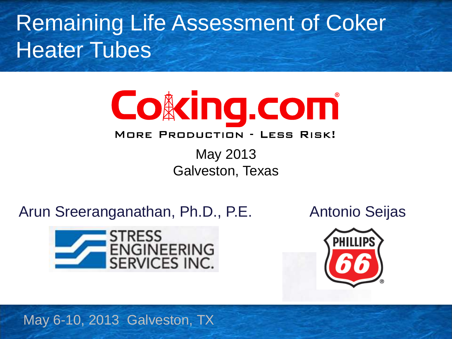Remaining Life Assessment of Coker Heater Tubes



#### **MORE PRODUCTION - LESS RISK!**

May 2013 Galveston, Texas

Arun Sreeranganathan, Ph.D., P.E.

Antonio Seijas





May 6-10, 2013 Galveston, TX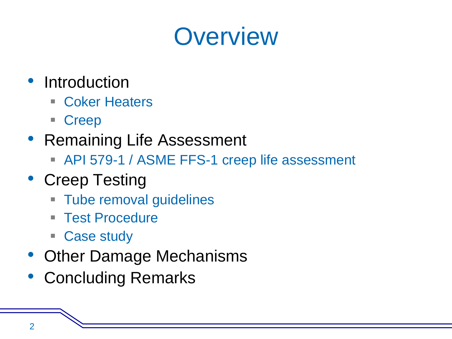#### **Overview**

- Introduction
	- Coker Heaters
	- Creep
- Remaining Life Assessment
	- API 579-1 / ASME FFS-1 creep life assessment
- Creep Testing
	- **Tube removal guidelines**
	- Test Procedure
	- Case study
- Other Damage Mechanisms
- Concluding Remarks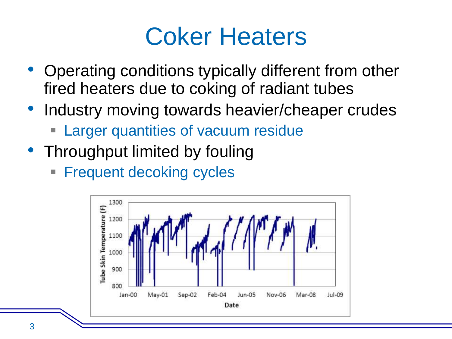#### Coker Heaters

- Operating conditions typically different from other fired heaters due to coking of radiant tubes
- Industry moving towards heavier/cheaper crudes
	- Larger quantities of vacuum residue
- Throughput limited by fouling
	- **Frequent decoking cycles**

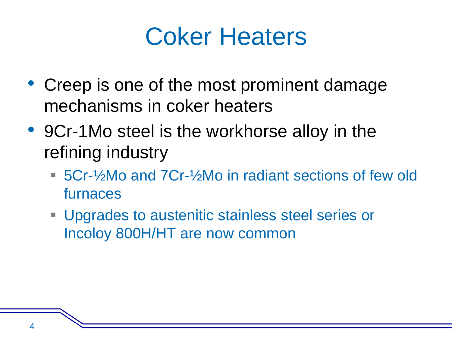#### Coker Heaters

- Creep is one of the most prominent damage mechanisms in coker heaters
- 9Cr-1Mo steel is the workhorse alloy in the refining industry
	- 5Cr-½Mo and 7Cr-½Mo in radiant sections of few old furnaces
	- **Upgrades to austenitic stainless steel series or** Incoloy 800H/HT are now common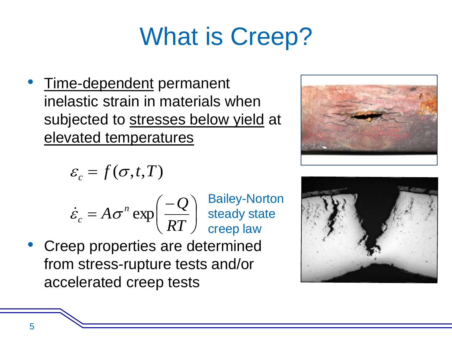# What is Creep?

• Time-dependent permanent inelastic strain in materials when subjected to stresses below yield at elevated temperatures

$$
\varepsilon_c = f(\sigma, t, T)
$$

- $\overline{\phantom{a}}$  $\int$  $\backslash$  $\overline{\phantom{a}}$  $\setminus$  $\left($   $=$ *RT Q*  $A\sigma^n$  $\dot{\varepsilon}_c = A \sigma^n \exp$ Bailey-Norton steady state creep law
- Creep properties are determined from stress-rupture tests and/or accelerated creep tests



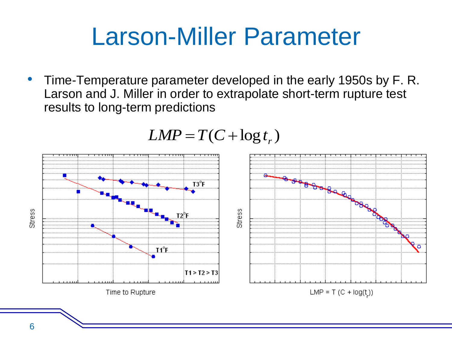#### Larson-Miller Parameter

• Time-Temperature parameter developed in the early 1950s by F. R. Larson and J. Miller in order to extrapolate short-term rupture test results to long-term predictions



$$
LMP = T(C + \log t_r)
$$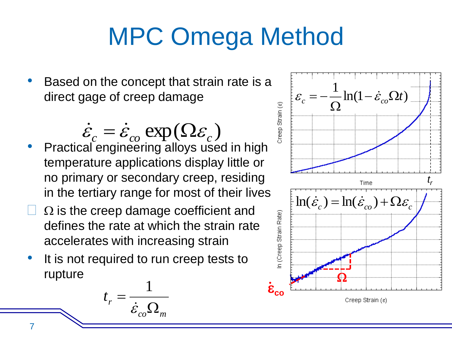# MPC Omega Method

- Based on the concept that strain rate is a direct gage of creep damage
- Practical engineering alloys used in high temperature applications display little or no primary or secondary creep, residing in the tertiary range for most of their lives  $\dot{\varepsilon}_c = \dot{\varepsilon}_{co} \exp(\Omega \varepsilon_c)$
- $\Omega$  is the creep damage coefficient and defines the rate at which the strain rate accelerates with increasing strain
- It is not required to run creep tests to rupture

$$
t_r = \frac{1}{\dot{\varepsilon}_{co} \Omega_m}
$$

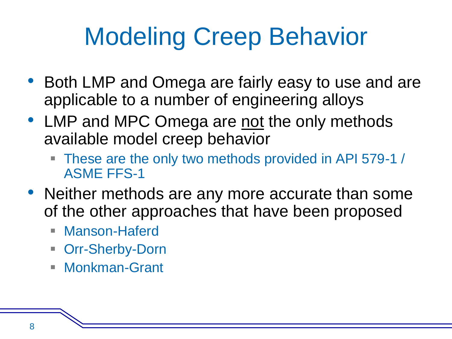# Modeling Creep Behavior

- Both LMP and Omega are fairly easy to use and are applicable to a number of engineering alloys
- LMP and MPC Omega are not the only methods available model creep behavior
	- These are the only two methods provided in API 579-1 / ASME FFS-1
- Neither methods are any more accurate than some of the other approaches that have been proposed
	- **Manson-Haferd**
	- Orr-Sherby-Dorn
	- Monkman-Grant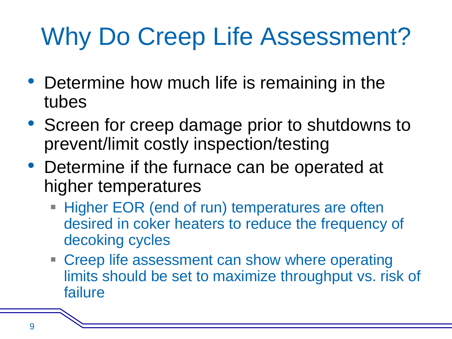# Why Do Creep Life Assessment?

- Determine how much life is remaining in the tubes
- Screen for creep damage prior to shutdowns to prevent/limit costly inspection/testing
- Determine if the furnace can be operated at higher temperatures
	- **Higher EOR (end of run) temperatures are often** desired in coker heaters to reduce the frequency of decoking cycles
	- **Example 2 Feep life assessment can show where operating** limits should be set to maximize throughput vs. risk of failure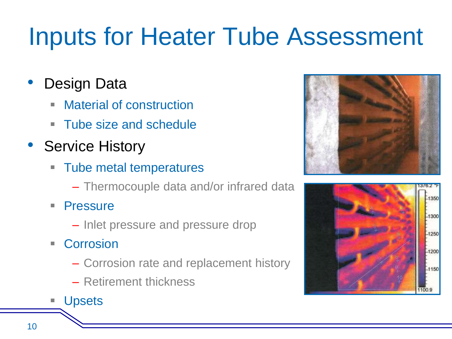# Inputs for Heater Tube Assessment

#### Design Data

- Material of construction
- Tube size and schedule
- Service History
	- Tube metal temperatures
		- Thermocouple data and/or infrared data
	- **Pressure** 
		- Inlet pressure and pressure drop
	- Corrosion
		- Corrosion rate and replacement history
		- Retirement thickness
	- **Upsets**



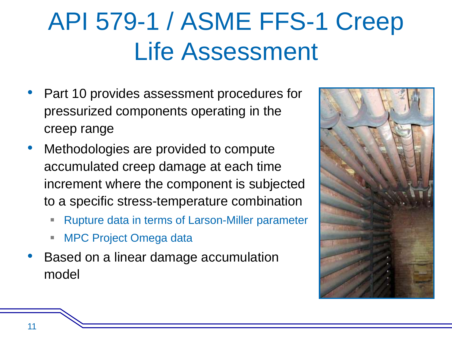# API 579-1 / ASME FFS-1 Creep Life Assessment

- Part 10 provides assessment procedures for pressurized components operating in the creep range
- Methodologies are provided to compute accumulated creep damage at each time increment where the component is subjected to a specific stress-temperature combination
	- Rupture data in terms of Larson-Miller parameter
	- MPC Project Omega data
- Based on a linear damage accumulation model

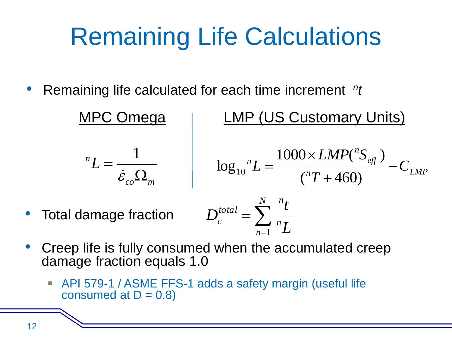### Remaining Life Calculations

• Remaining life calculated for each time increment <sup>n</sup>t

MPC Omega | LMP (US Customary Units)  $co$ <sup> $\geq$ </sup> $m$ *n L*  $\Omega$  $=$  $\dot{\mathcal{E}}$ 1  $\overline{p}$   $\overline{L}$   $\overline{L}$   $\overline{L}$   $\overline{L}$   $\overline{L}$   $\overline{L}$   $\overline{L}$   $\overline{L}$   $\overline{L}$   $\overline{L}$   $\overline{L}$   $\overline{L}$   $\overline{L}$   $\overline{L}$   $\overline{L}$   $\overline{L}$   $\overline{L}$   $\overline{L}$   $\overline{L}$   $\overline{L}$   $\overline{L}$   $\overline{L}$   $\overline{L}$   $\overline{$ *eff n*  $n_L = \frac{1000 \times L/M}{m} - C$ *T*  $LMP("S"$  $L = \frac{1000 \times 2.711}{\sqrt{2}} =$  $\ddot{}$  $\times$  $=$  $({}^{n}T+460)$  $1000 \times LMP(^{n}S_{\text{eff}})$  $\log_{10}$  $=\sum_{n=1}^{\infty}$ *N n n n total*  $\sum_{n=1}^{c} n \sum_{n=1}^{n}$ *t D* 1 • Total damage fraction

- Creep life is fully consumed when the accumulated creep damage fraction equals 1.0
	- API 579-1 / ASME FFS-1 adds a safety margin (useful life consumed at  $D = 0.8$ )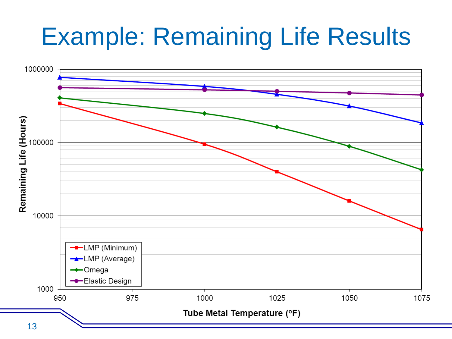#### Example: Remaining Life Results

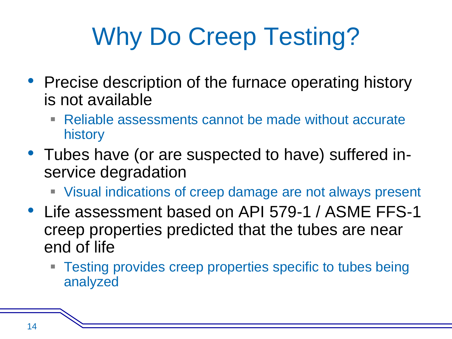# Why Do Creep Testing?

- Precise description of the furnace operating history is not available
	- Reliable assessments cannot be made without accurate history
- Tubes have (or are suspected to have) suffered inservice degradation
	- Visual indications of creep damage are not always present
- Life assessment based on API 579-1 / ASME FFS-1 creep properties predicted that the tubes are near end of life
	- Testing provides creep properties specific to tubes being analyzed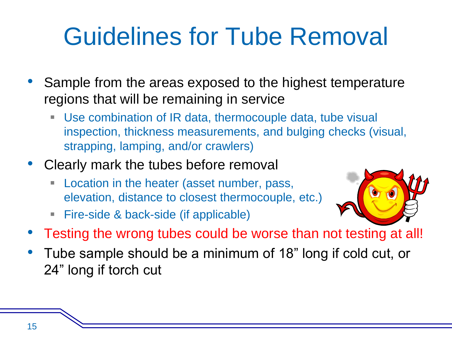### Guidelines for Tube Removal

- Sample from the areas exposed to the highest temperature regions that will be remaining in service
	- Use combination of IR data, thermocouple data, tube visual inspection, thickness measurements, and bulging checks (visual, strapping, lamping, and/or crawlers)
- Clearly mark the tubes before removal
	- **Location in the heater (asset number, pass,** elevation, distance to closest thermocouple, etc.)
	- Fire-side & back-side (if applicable)



- Testing the wrong tubes could be worse than not testing at all!
- Tube sample should be a minimum of 18" long if cold cut, or 24" long if torch cut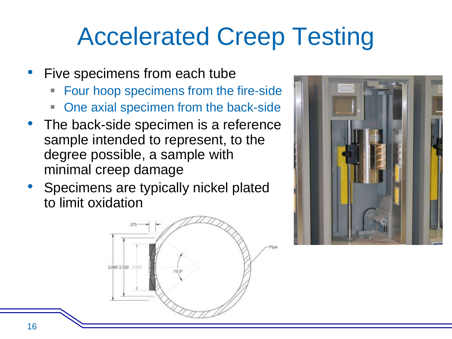### Accelerated Creep Testing

- Five specimens from each tube
	- Four hoop specimens from the fire-side
	- One axial specimen from the back-side
- The back-side specimen is a reference sample intended to represent, to the degree possible, a sample with minimal creep damage
- Specimens are typically nickel plated to limit oxidation



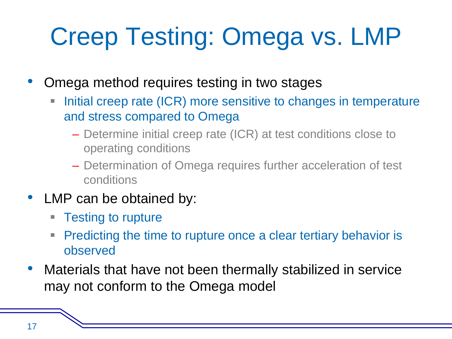# Creep Testing: Omega vs. LMP

• Omega method requires testing in two stages

- Initial creep rate (ICR) more sensitive to changes in temperature and stress compared to Omega
	- Determine initial creep rate (ICR) at test conditions close to operating conditions
	- Determination of Omega requires further acceleration of test conditions
- LMP can be obtained by:
	- **Testing to rupture**
	- **Predicting the time to rupture once a clear tertiary behavior is** observed
- Materials that have not been thermally stabilized in service may not conform to the Omega model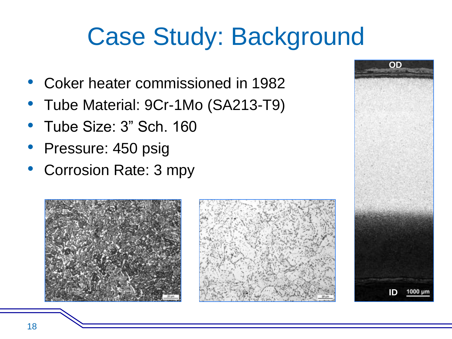### Case Study: Background

- Coker heater commissioned in 1982
- Tube Material: 9Cr-1Mo (SA213-T9)
- Tube Size: 3" Sch. 160
- Pressure: 450 psig
- Corrosion Rate: 3 mpy





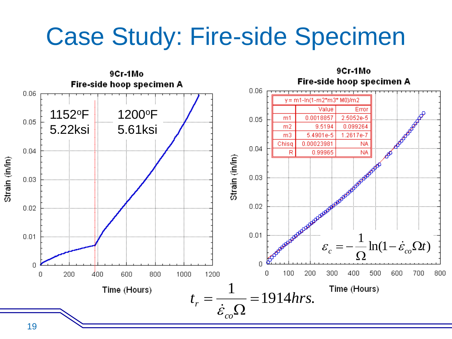#### Case Study: Fire-side Specimen

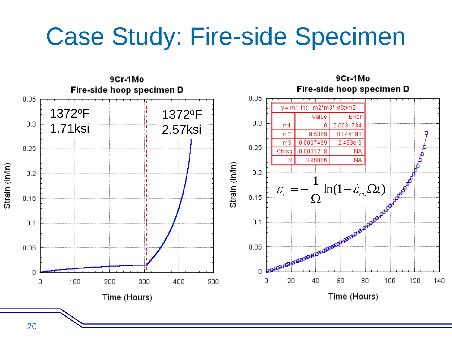#### Case Study: Fire-side Specimen

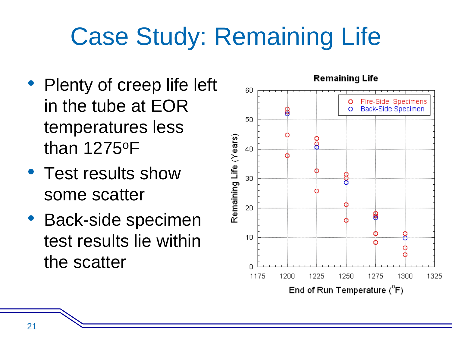# Case Study: Remaining Life

- Plenty of creep life left in the tube at EOR temperatures less than 1275<sup>o</sup>F
- Test results show some scatter
- Back-side specimen test results lie within the scatter

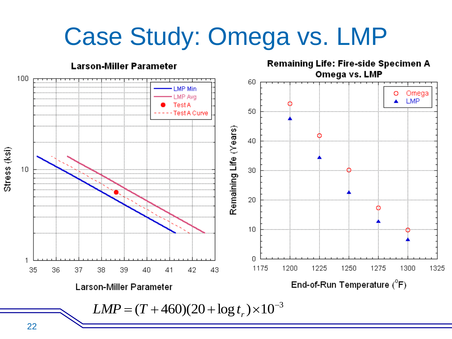### Case Study: Omega vs. LMP

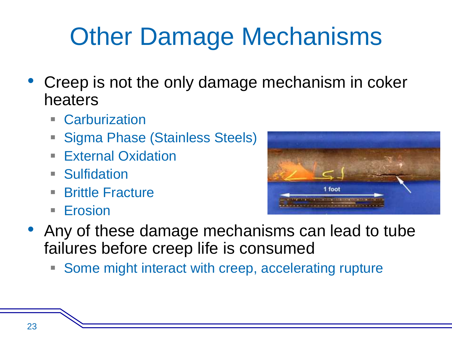# Other Damage Mechanisms

- Creep is not the only damage mechanism in coker heaters
	- **E** Carburization
	- Sigma Phase (Stainless Steels)
	- **External Oxidation**
	- **Sulfidation**
	- Brittle Fracture
	- **Erosion**



- Any of these damage mechanisms can lead to tube failures before creep life is consumed
	- **Some might interact with creep, accelerating rupture**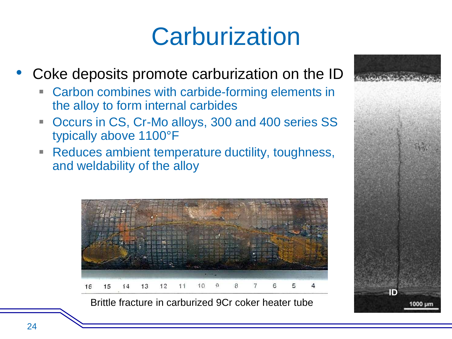#### **Carburization**

- Coke deposits promote carburization on the ID
	- Carbon combines with carbide-forming elements in the alloy to form internal carbides
	- Occurs in CS, Cr-Mo alloys, 300 and 400 series SS typically above 1100°F
	- **Reduces ambient temperature ductility, toughness,** and weldability of the alloy



Brittle fracture in carburized 9Cr coker heater tube

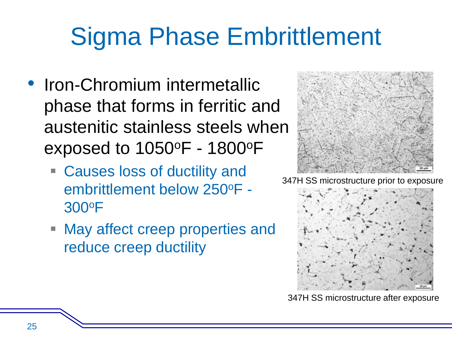# Sigma Phase Embrittlement

- Iron-Chromium intermetallic phase that forms in ferritic and austenitic stainless steels when exposed to 1050<sup>o</sup>F - 1800<sup>o</sup>F
	- Causes loss of ductility and embrittlement below 250<sup>o</sup>F - 300<sup>o</sup>F
	- **May affect creep properties and** reduce creep ductility



347H SS microstructure prior to exposure



347H SS microstructure after exposure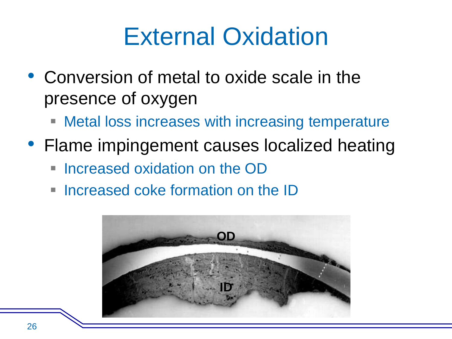#### External Oxidation

- Conversion of metal to oxide scale in the presence of oxygen
	- **Metal loss increases with increasing temperature**
- Flame impingement causes localized heating
	- Increased oxidation on the OD
	- $\blacksquare$  Increased coke formation on the  $\blacksquare$

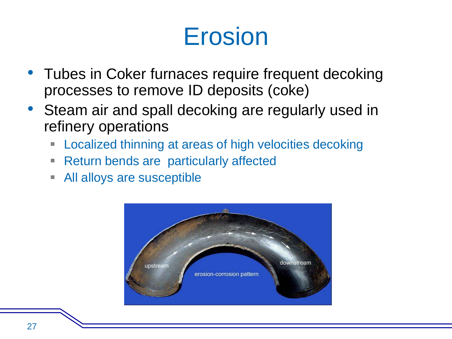#### Erosion

- Tubes in Coker furnaces require frequent decoking processes to remove ID deposits (coke)
- Steam air and spall decoking are regularly used in refinery operations
	- **EXEC** 1 Localized thinning at areas of high velocities decoking
	- Return bends are particularly affected
	- All alloys are susceptible

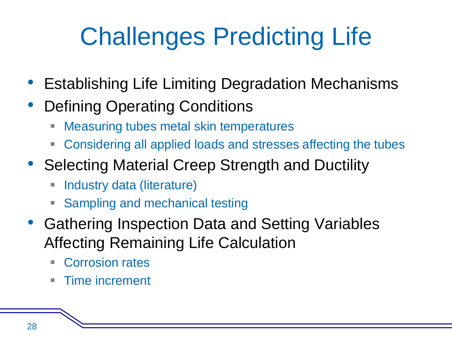# Challenges Predicting Life

- Establishing Life Limiting Degradation Mechanisms
- Defining Operating Conditions
	- **EXEC** Measuring tubes metal skin temperatures
	- Considering all applied loads and stresses affecting the tubes
- Selecting Material Creep Strength and Ductility
	- **Industry data (literature)**
	- **Sampling and mechanical testing**
- Gathering Inspection Data and Setting Variables Affecting Remaining Life Calculation
	- Corrosion rates
	- **Time increment**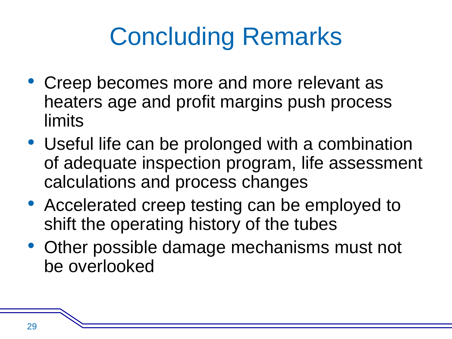# Concluding Remarks

- Creep becomes more and more relevant as heaters age and profit margins push process limits
- Useful life can be prolonged with a combination of adequate inspection program, life assessment calculations and process changes
- Accelerated creep testing can be employed to shift the operating history of the tubes
- Other possible damage mechanisms must not be overlooked